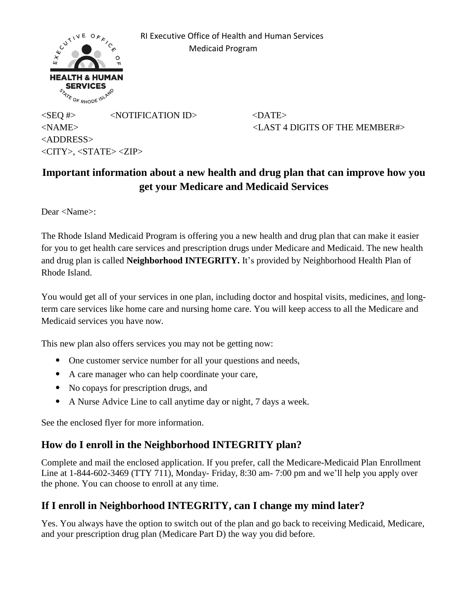

 RI Executive Office of Health and Human Services Medicaid Program

 $\langle$ SEQ #>  $\langle$ NOTIFICATION ID>  $\langle$ DATE> <NAME> <LAST 4 DIGITS OF THE MEMBER#> <ADDRESS>  $\langle$ CITY>,  $\langle$ STATE> $\langle$ ZIP>

# **Important information about a new health and drug plan that can improve how you get your Medicare and Medicaid Services**

Dear <Name>:

The Rhode Island Medicaid Program is offering you a new health and drug plan that can make it easier for you to get health care services and prescription drugs under Medicare and Medicaid. The new health and drug plan is called **Neighborhood INTEGRITY.** It's provided by Neighborhood Health Plan of Rhode Island.

You would get all of your services in one plan, including doctor and hospital visits, medicines, and longterm care services like home care and nursing home care. You will keep access to all the Medicare and Medicaid services you have now.

This new plan also offers services you may not be getting now:

- One customer service number for all your questions and needs,
- A care manager who can help coordinate your care,
- No copays for prescription drugs, and
- A Nurse Advice Line to call anytime day or night, 7 days a week.

See the enclosed flyer for more information.

## **How do I enroll in the Neighborhood INTEGRITY plan?**

Complete and mail the enclosed application. If you prefer, call the Medicare-Medicaid Plan Enrollment Line at 1-844-602-3469 (TTY 711), Monday- Friday, 8:30 am- 7:00 pm and we'll help you apply over the phone. You can choose to enroll at any time.

## **If I enroll in Neighborhood INTEGRITY, can I change my mind later?**

Yes. You always have the option to switch out of the plan and go back to receiving Medicaid, Medicare, and your prescription drug plan (Medicare Part D) the way you did before.